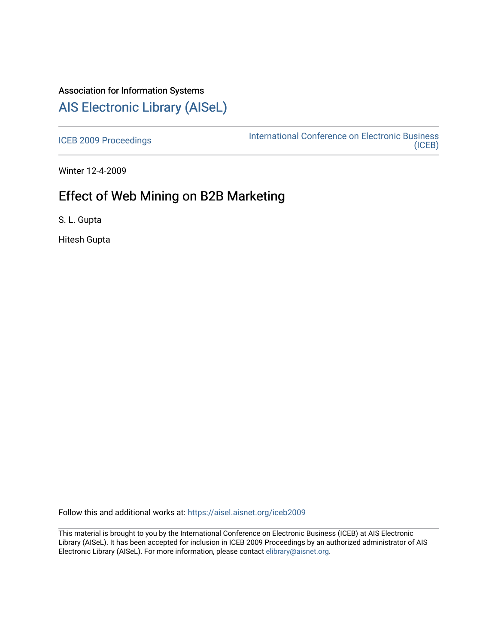## Association for Information Systems

# [AIS Electronic Library \(AISeL\)](https://aisel.aisnet.org/)

[ICEB 2009 Proceedings](https://aisel.aisnet.org/iceb2009) **International Conference on Electronic Business** [\(ICEB\)](https://aisel.aisnet.org/iceb) 

Winter 12-4-2009

# Effect of Web Mining on B2B Marketing

S. L. Gupta

Hitesh Gupta

Follow this and additional works at: [https://aisel.aisnet.org/iceb2009](https://aisel.aisnet.org/iceb2009?utm_source=aisel.aisnet.org%2Ficeb2009%2F35&utm_medium=PDF&utm_campaign=PDFCoverPages)

This material is brought to you by the International Conference on Electronic Business (ICEB) at AIS Electronic Library (AISeL). It has been accepted for inclusion in ICEB 2009 Proceedings by an authorized administrator of AIS Electronic Library (AISeL). For more information, please contact [elibrary@aisnet.org.](mailto:elibrary@aisnet.org%3E)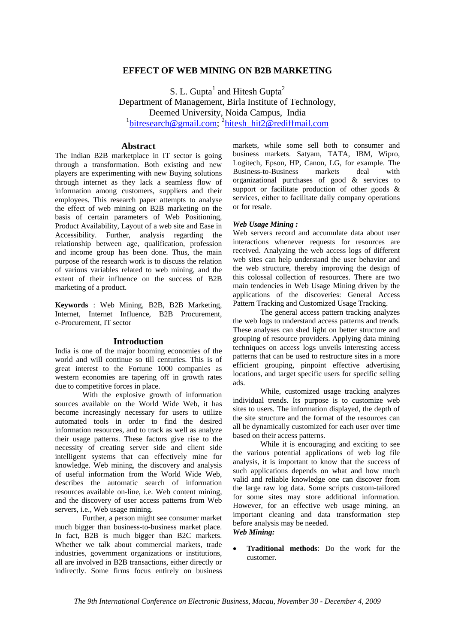## **EFFECT OF WEB MINING ON B2B MARKETING**

S. L. Gupta<sup>1</sup> and Hitesh Gupta<sup>2</sup> Department of Management, Birla Institute of Technology, Deemed University, Noida Campus, India <sup>1</sup>bitresearch@gmail.com; <sup>2</sup>hitesh\_hit2@rediffmail.com

## **Abstract**

The Indian B2B marketplace in IT sector is going through a transformation. Both existing and new players are experimenting with new Buying solutions through internet as they lack a seamless flow of information among customers, suppliers and their employees. This research paper attempts to analyse the effect of web mining on B2B marketing on the basis of certain parameters of Web Positioning, Product Availability, Layout of a web site and Ease in Accessibility. Further, analysis regarding the relationship between age, qualification, profession and income group has been done. Thus, the main purpose of the research work is to discuss the relation of various variables related to web mining, and the extent of their influence on the success of B2B marketing of a product.

**Keywords** : Web Mining, B2B, B2B Marketing, Internet, Internet Influence, B2B Procurement, e-Procurement, IT sector

### **Introduction**

India is one of the major booming economies of the world and will continue so till centuries. This is of great interest to the Fortune 1000 companies as western economies are tapering off in growth rates due to competitive forces in place.

With the explosive growth of information sources available on the World Wide Web, it has become increasingly necessary for users to utilize automated tools in order to find the desired information resources, and to track as well as analyze their usage patterns. These factors give rise to the necessity of creating server side and client side intelligent systems that can effectively mine for knowledge. Web mining, the discovery and analysis of useful information from the World Wide Web, describes the automatic search of information resources available on-line, i.e. Web content mining, and the discovery of user access patterns from Web servers, i.e., Web usage mining.

Further, a person might see consumer market much bigger than business-to-business market place. In fact, B2B is much bigger than B2C markets. Whether we talk about commercial markets, trade industries, government organizations or institutions, all are involved in B2B transactions, either directly or indirectly. Some firms focus entirely on business

markets, while some sell both to consumer and business markets. Satyam, TATA, IBM, Wipro, Logitech, Epson, HP, Canon, LG, for example. The Business-to-Business markets deal with organizational purchases of good & services to support or facilitate production of other goods & services, either to facilitate daily company operations or for resale.

#### *Web Usage Mining :*

Web servers record and accumulate data about user interactions whenever requests for resources are received. Analyzing the web access logs of different web sites can help understand the user behavior and the web structure, thereby improving the design of this colossal collection of resources. There are two main tendencies in Web Usage Mining driven by the applications of the discoveries: General Access Pattern Tracking and Customized Usage Tracking.

The general access pattern tracking analyzes the web logs to understand access patterns and trends. These analyses can shed light on better structure and grouping of resource providers. Applying data mining techniques on access logs unveils interesting access patterns that can be used to restructure sites in a more efficient grouping, pinpoint effective advertising locations, and target specific users for specific selling ads.

While, customized usage tracking analyzes individual trends. Its purpose is to customize web sites to users. The information displayed, the depth of the site structure and the format of the resources can all be dynamically customized for each user over time based on their access patterns.

While it is encouraging and exciting to see the various potential applications of web log file analysis, it is important to know that the success of such applications depends on what and how much valid and reliable knowledge one can discover from the large raw log data. Some scripts custom-tailored for some sites may store additional information. However, for an effective web usage mining, an important cleaning and data transformation step before analysis may be needed.

## *Web Mining:*

• **Traditional methods**: Do the work for the customer.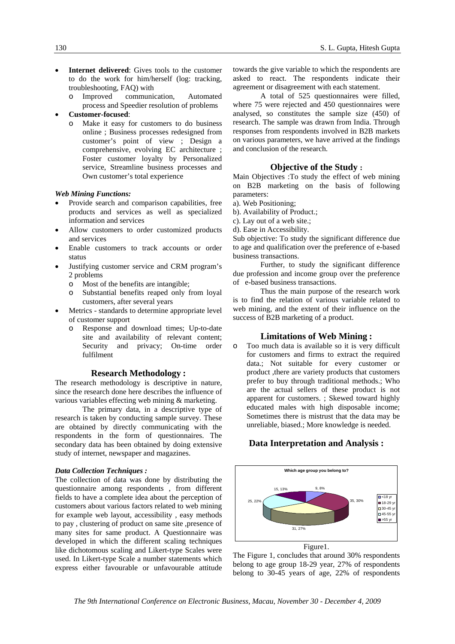- **Internet delivered**: Gives tools to the customer to do the work for him/herself (log: tracking, troubleshooting, FAQ) with
	- o Improved communication, Automated process and Speedier resolution of problems
- **Customer-focused**:
	- o Make it easy for customers to do business online ; Business processes redesigned from customer's point of view ; Design a comprehensive, evolving EC architecture ; Foster customer loyalty by Personalized service, Streamline business processes and Own customer's total experience

### *Web Mining Functions:*

- Provide search and comparison capabilities, free products and services as well as specialized information and services
- Allow customers to order customized products and services
- Enable customers to track accounts or order status
- Justifying customer service and CRM program's 2 problems
	- o Most of the benefits are intangible;
	- o Substantial benefits reaped only from loyal customers, after several years
- Metrics standards to determine appropriate level of customer support
	- o Response and download times; Up-to-date site and availability of relevant content; Security and privacy; On-time order fulfilment

## **Research Methodology :**

The research methodology is descriptive in nature, since the research done here describes the influence of various variables effecting web mining & marketing.

The primary data, in a descriptive type of research is taken by conducting sample survey. These are obtained by directly communicating with the respondents in the form of questionnaires. The secondary data has been obtained by doing extensive study of internet, newspaper and magazines.

#### *Data Collection Techniques :*

The collection of data was done by distributing the questionnaire among respondents , from different fields to have a complete idea about the perception of customers about various factors related to web mining for example web layout, accessibility , easy methods to pay , clustering of product on same site ,presence of many sites for same product. A Questionnaire was developed in which the different scaling techniques like dichotomous scaling and Likert-type Scales were used. In Likert-type Scale a number statements which express either favourable or unfavourable attitude towards the give variable to which the respondents are asked to react. The respondents indicate their agreement or disagreement with each statement.

A total of 525 questionnaires were filled, where 75 were rejected and 450 questionnaires were analysed, so constitutes the sample size (450) of research. The sample was drawn from India. Through responses from respondents involved in B2B markets on various parameters, we have arrived at the findings and conclusion of the research.

### **Objective of the Study :**

Main Objectives :To study the effect of web mining on B2B marketing on the basis of following parameters:

- a). Web Positioning;
- b). Availability of Product.;
- c). Lay out of a web site.;
- d). Ease in Accessibility.

Sub objective: To study the significant difference due to age and qualification over the preference of e-based business transactions.

Further, to study the significant difference due profession and income group over the preference of e-based business transactions.

Thus the main purpose of the research work is to find the relation of various variable related to web mining, and the extent of their influence on the success of B2B marketing of a product.

#### **Limitations of Web Mining :**

o Too much data is available so it is very difficult for customers and firms to extract the required data.; Not suitable for every customer or product ,there are variety products that customers prefer to buy through traditional methods.; Who are the actual sellers of these product is not apparent for customers. ; Skewed toward highly educated males with high disposable income; Sometimes there is mistrust that the data may be unreliable, biased.; More knowledge is needed.

## **Data Interpretation and Analysis :**



The Figure 1, concludes that around 30% respondents belong to age group 18-29 year, 27% of respondents belong to 30-45 years of age, 22% of respondents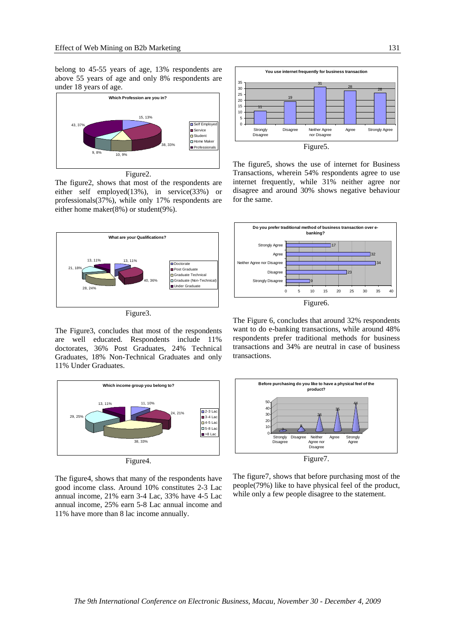belong to 45-55 years of age, 13% respondents are above 55 years of age and only 8% respondents are under 18 years of age.



Figure2.

The figure2, shows that most of the respondents are either self employed(13%), in service(33%) or professionals(37%), while only 17% respondents are either home maker(8%) or student(9%).



The Figure3, concludes that most of the respondents are well educated. Respondents include 11% doctorates, 36% Post Graduates, 24% Technical Graduates, 18% Non-Technical Graduates and only 11% Under Graduates.



The figure4, shows that many of the respondents have good income class. Around 10% constitutes 2-3 Lac annual income, 21% earn 3-4 Lac, 33% have 4-5 Lac annual income, 25% earn 5-8 Lac annual income and 11% have more than 8 lac income annually.



The figure5, shows the use of internet for Business Transactions, wherein 54% respondents agree to use internet frequently, while 31% neither agree nor disagree and around 30% shows negative behaviour for the same.



The Figure 6, concludes that around 32% respondents want to do e-banking transactions, while around 48% respondents prefer traditional methods for business transactions and 34% are neutral in case of business transactions.



The figure7, shows that before purchasing most of the people(79%) like to have physical feel of the product,

while only a few people disagree to the statement.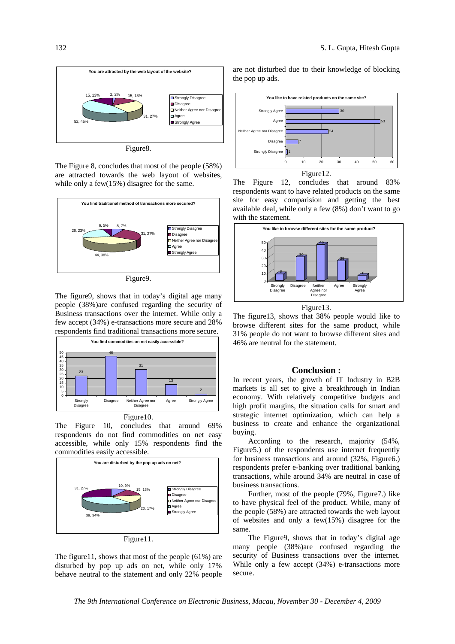

Figure8.

The Figure 8, concludes that most of the people (58%) are attracted towards the web layout of websites, while only a few(15%) disagree for the same.



Figure9.

The figure9, shows that in today's digital age many people (38%)are confused regarding the security of Business transactions over the internet. While only a few accept (34%) e-transactions more secure and 28% respondents find traditional transactions more secure.



The Figure 10, concludes that around 69% respondents do not find commodities on net easy accessible, while only 15% respondents find the



Figure11.

The figure11, shows that most of the people (61%) are disturbed by pop up ads on net, while only 17% behave neutral to the statement and only 22% people are not disturbed due to their knowledge of blocking the pop up ads.



The Figure 12, concludes that around 83% respondents want to have related products on the same site for easy comparision and getting the best available deal, while only a few (8%) don't want to go with the statement.



Figure13.

The figure13, shows that 38% people would like to browse different sites for the same product, while 31% people do not want to browse different sites and 46% are neutral for the statement.

#### **Conclusion :**

In recent years, the growth of IT Industry in B2B markets is all set to give a breakthrough in Indian economy. With relatively competitive budgets and high profit margins, the situation calls for smart and strategic internet optimization, which can help a business to create and enhance the organizational buying.

According to the research, majority (54%, Figure5.) of the respondents use internet frequently for business transactions and around (32%, Figure6.) respondents prefer e-banking over traditional banking transactions, while around 34% are neutral in case of business transactions.

Further, most of the people (79%, Figure7.) like to have physical feel of the product. While, many of the people (58%) are attracted towards the web layout of websites and only a few(15%) disagree for the same.

The Figure9, shows that in today's digital age many people (38%)are confused regarding the security of Business transactions over the internet. While only a few accept (34%) e-transactions more secure.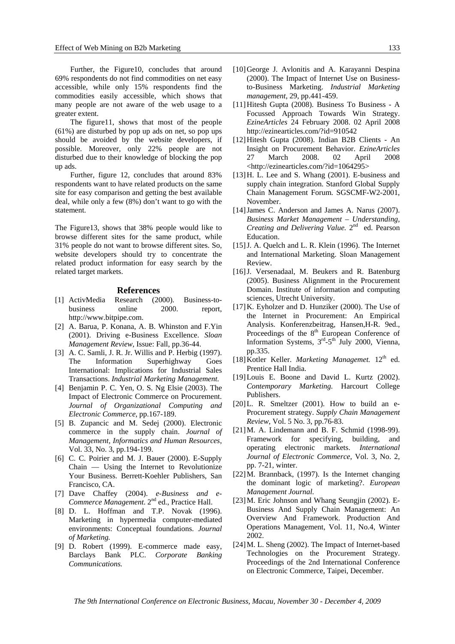Further, the Figure10, concludes that around 69% respondents do not find commodities on net easy accessible, while only 15% respondents find the commodities easily accessible, which shows that many people are not aware of the web usage to a greater extent.

The figure11, shows that most of the people (61%) are disturbed by pop up ads on net, so pop ups should be avoided by the website developers, if possible. Moreover, only 22% people are not disturbed due to their knowledge of blocking the pop up ads.

Further, figure 12, concludes that around 83% respondents want to have related products on the same site for easy comparison and getting the best available deal, while only a few (8%) don't want to go with the statement.

The Figure13, shows that 38% people would like to browse different sites for the same product, while 31% people do not want to browse different sites. So, website developers should try to concentrate the related product information for easy search by the related target markets.

#### **References**

- [1] ActivMedia Research (2000). Business-tobusiness online 2000. report, http://www.bitpipe.com.
- [2] A. Barua, P. Konana, A. B. Whinston and F.Yin (2001). Driving e-Business Excellence. *Sloan Management Review*, Issue: Fall, pp.36-44.
- [3] A. C. Samli, J. R. Jr. Willis and P. Herbig (1997). The Information Superhighway Goes International: Implications for Industrial Sales Transactions. *Industrial Marketing Management.*
- [4] Benjamin P. C. Yen, O. S. Ng Elsie (2003). The Impact of Electronic Commerce on Procurement. *Journal of Organizational Computing and Electronic Commerce*, pp.167-189.
- [5] B. Zupancic and M. Sedej (2000). Electronic commerce in the supply chain. *Journal of Management, Informatics and Human Resources*, Vol. 33, No. 3, pp.194-199.
- [6] C. C. Poirier and M. J. Bauer (2000). E-Supply Chain — Using the Internet to Revolutionize Your Business. Berrett-Koehler Publishers, San Francisco, CA.
- [7] Dave Chaffey (2004). *e-Business and e-Commerce Management*. 2nd ed., Practice Hall.
- [8] D. L. Hoffman and T.P. Novak (1996). Marketing in hypermedia computer-mediated environments: Conceptual foundations. *Journal of Marketing.*
- [9] D. Robert (1999). E-commerce made easy, Barclays Bank PLC. *Corporate Banking Communications.*
- [10]George J. Avlonitis and A. Karayanni Despina (2000). The Impact of Internet Use on Businessto-Business Marketing. *Industrial Marketing management*, 29, pp.441-459.
- [11]Hitesh Gupta (2008). Business To Business A Focussed Approach Towards Win Strategy. *EzineArticles* 24 February 2008. 02 April 2008 http://ezinearticles.com/?id=910542
- [12]Hitesh Gupta (2008). Indian B2B Clients An Insight on Procurement Behavior. *EzineArticles* 27 March 2008. 02 April 2008 <http://ezinearticles.com/?id=1064295>
- [13]H. L. Lee and S. Whang (2001). E-business and supply chain integration. Stanford Global Supply Chain Management Forum. SGSCMF-W2-2001, November.
- [14]James C. Anderson and James A. Narus (2007). *Business Market Management – Understanding, Creating and Delivering Value.* 2nd ed. Pearson Education.
- [15] J. A. Quelch and L. R. Klein (1996). The Internet and International Marketing. Sloan Management Review.
- [16]J. Versenadaal, M. Beukers and R. Batenburg (2005). Business Alignment in the Procurement Domain. Institute of information and computing sciences, Utrecht University.
- [17]K. Eyholzer and D. Hunziker (2000). The Use of the Internet in Procurement: An Empirical Analysis. Konferenzbeitrag, Hansen,H-R. 9ed., Proceedings of the 8<sup>th</sup> European Conference of Information Systems,  $3<sup>rd</sup>-5<sup>th</sup>$  July 2000, Vienna, pp.335.
- [18] Kotler Keller. *Marketing Managemet*. 12<sup>th</sup> ed. Prentice Hall India.
- [19] Louis E. Boone and David L. Kurtz (2002). *Contemporary Marketing.* Harcourt College Publishers.
- [20] L. R. Smeltzer (2001). How to build an e-Procurement strategy. *Supply Chain Management Review*, Vol. 5 No. 3, pp.76-83.
- [21]M. A. Lindemann and B. F. Schmid (1998-99). Framework for specifying, building, and operating electronic markets. *International Journal of Electronic Commerce*, Vol. 3, No. 2, pp. 7-21, winter.
- [22] M. Brannback, (1997). Is the Internet changing the dominant logic of marketing?. *European Management Journal.*
- [23]M. Eric Johnson and Whang Seungjin (2002). E-Business And Supply Chain Management: An Overview And Framework. Production And Operations Management, Vol. 11, No.4, Winter 2002.
- [24]M. L. Sheng (2002). The Impact of Internet-based Technologies on the Procurement Strategy. Proceedings of the 2nd International Conference on Electronic Commerce, Taipei, December.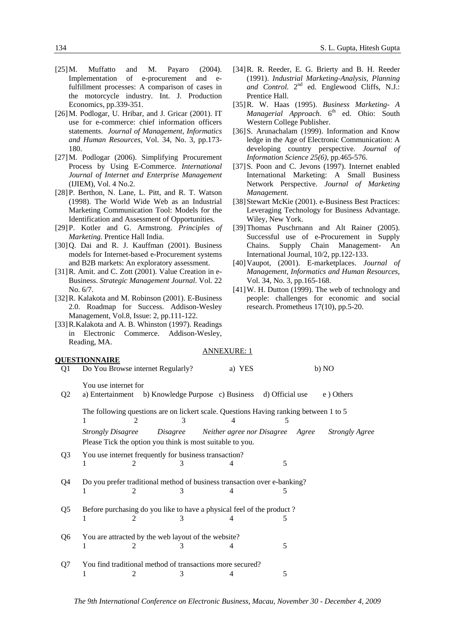- [25]M. Muffatto and M. Payaro (2004). Implementation of e-procurement and efulfillment processes: A comparison of cases in the motorcycle industry. Int. J. Production Economics, pp.339-351.
- [26]M. Podlogar, U. Hribar, and J. Gricar (2001). IT use for e-commerce: chief information officers statements. *Journal of Management, Informatics and Human Resources*, Vol. 34, No. 3, pp.173- 180.
- [27]M. Podlogar (2006). Simplifying Procurement Process by Using E-Commerce. *International Journal of Internet and Enterprise Management*  (IJIEM), Vol. 4 No.2.
- [28]P. Berthon, N. Lane, L. Pitt, and R. T. Watson (1998). The World Wide Web as an Industrial Marketing Communication Tool: Models for the Identification and Assessment of Opportunities.
- [29]P. Kotler and G. Armstrong. *Principles of Marketing.* Prentice Hall India.
- [30]Q. Dai and R. J. Kauffman (2001). Business models for Internet-based e-Procurement systems and B2B markets: An exploratory assessment.
- [31] R. Amit. and C. Zott (2001). Value Creation in e-Business. *Strategic Management Journal*. Vol. 22 No. 6/7.
- [32]R. Kalakota and M. Robinson (2001). E-Business 2.0. Roadmap for Success. Addison-Wesley Management, Vol.8, Issue: 2, pp.111-122.
- [33] R.Kalakota and A. B. Whinston (1997). Readings in Electronic Commerce. Addison-Wesley, Reading, MA.

## **QUESTIONNAIRE**

- [34]R. R. Reeder, E. G. Brierty and B. H. Reeder (1991). *Industrial Marketing-Analysis, Planning*  and Control. 2<sup>nd</sup> ed. Englewood Cliffs, N.J.: Prentice Hall.
- [35]R. W. Haas (1995). *Business Marketing- A Managerial Approach.* 6<sup>th</sup> ed. Ohio: South Western College Publisher.
- [36] S. Arunachalam (1999). Information and Know ledge in the Age of Electronic Communication: A developing country perspective. *Journal of Information Science 25(6),* pp*.*465-576.
- [37]S. Poon and C. Jevons (1997). Internet enabled International Marketing: A Small Business Network Perspective. *Journal of Marketing Management.*
- [38] Stewart McKie (2001). e-Business Best Practices: Leveraging Technology for Business Advantage. Wiley, New York.
- [39]Thomas Puschrnann and Alt Rainer (2005). Successful use of e-Procurement in Supply Chains. Supply Chain Management- An International Journal, 10/2, pp.122-133.
- [40]Vaupot, (2001). E-marketplaces. *Journal of Management, Informatics and Human Resources,* Vol. 34, No. 3, pp.165-168.
- [41]W. H. Dutton (1999). The web of technology and people: challenges for economic and social research. Prometheus 17(10), pp.5-20.

|                | JUESTIUNNAIKE                                                                 |                                                                                                |   |                            |                 |       |                       |  |  |
|----------------|-------------------------------------------------------------------------------|------------------------------------------------------------------------------------------------|---|----------------------------|-----------------|-------|-----------------------|--|--|
| Q1             | Do You Browse internet Regularly?                                             |                                                                                                |   | a) YES                     |                 | b) NO |                       |  |  |
| Q <sub>2</sub> | You use internet for                                                          | a) Entertainment b) Knowledge Purpose c) Business                                              |   |                            | d) Official use |       | e) Others             |  |  |
|                |                                                                               | The following questions are on lickert scale. Questions Having ranking between 1 to 5          |   |                            |                 |       |                       |  |  |
|                | <b>Strongly Disagree</b>                                                      | Disagree<br>Please Tick the option you think is most suitable to you.                          |   | Neither agree nor Disagree |                 | Agree | <b>Strongly Agree</b> |  |  |
| Q <sub>3</sub> |                                                                               | You use internet frequently for business transaction?<br>2                                     |   |                            | 5               |       |                       |  |  |
| Q4             |                                                                               | Do you prefer traditional method of business transaction over e-banking?                       | 3 |                            | 5               |       |                       |  |  |
| Q5             |                                                                               | Before purchasing do you like to have a physical feel of the product?<br>$\mathcal{D}_{\cdot}$ |   |                            | 5               |       |                       |  |  |
| Q6             | You are attracted by the web layout of the website?<br>5                      |                                                                                                |   |                            |                 |       |                       |  |  |
| Q7             | You find traditional method of transactions more secured?<br>5<br>2<br>3<br>4 |                                                                                                |   |                            |                 |       |                       |  |  |
|                |                                                                               |                                                                                                |   |                            |                 |       |                       |  |  |

ANNEXURE: 1